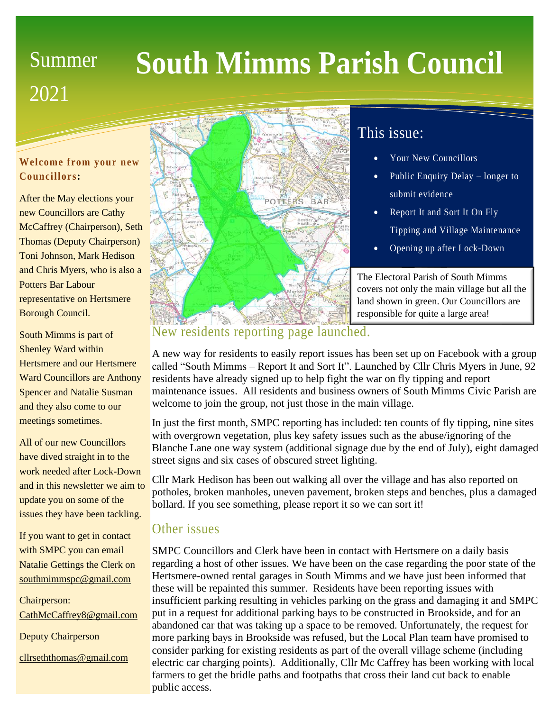# **Summer** 2021

# **South Mimms Parish Council**

#### **Welcome from your new Councillors:**

After the May elections your new Councillors are Cathy McCaffrey (Chairperson), Seth Thomas (Deputy Chairperson) Toni Johnson, Mark Hedison and Chris Myers, who is also a Potters Bar Labour representative on Hertsmere Borough Council.

South Mimms is part of Shenley Ward within Hertsmere and our Hertsmere Ward Councillors are Anthony Spencer and Natalie Susman and they also come to our meetings sometimes.

All of our new Councillors have dived straight in to the work needed after Lock-Down and in this newsletter we aim to update you on some of the issues they have been tackling.

If you want to get in contact with SMPC you can email Natalie Gettings the Clerk on [southmimmspc@gmail.com](mailto:southmimmspc@gmail.com)

Chairperson: [CathMcCaffrey8@gmail.com](mailto:CathMcCaffrey8@gmail.com)

Deputy Chairperson

[cllrseththomas@gmail.com](mailto:cllrseththomas@gmail.com)



# This issue:

- Your New Councillors
- Public Enquiry Delay longer to submit evidence
- Report It and Sort It On Fly Tipping and Village Maintenance
- Opening up after Lock-Down

• Delay to New Houses Info The Electoral Parish of South Mimms covers not only the main village but all the land shown in green. Our Councillors are responsible for quite a large area!

## New residents reporting page launched.

A new way for residents to easily report issues has been set up on Facebook with a group called "South Mimms – Report It and Sort It". Launched by Cllr Chris Myers in June, 92 residents have already signed up to help fight the war on fly tipping and report maintenance issues. All residents and business owners of South Mimms Civic Parish are welcome to join the group, not just those in the main village.

In just the first month, SMPC reporting has included: ten counts of fly tipping, nine sites with overgrown vegetation, plus key safety issues such as the abuse/ignoring of the Blanche Lane one way system (additional signage due by the end of July), eight damaged street signs and six cases of obscured street lighting.

Cllr Mark Hedison has been out walking all over the village and has also reported on potholes, broken manholes, uneven pavement, broken steps and benches, plus a damaged bollard. If you see something, please report it so we can sort it!

## Other issues

SMPC Councillors and Clerk have been in contact with Hertsmere on a daily basis regarding a host of other issues. We have been on the case regarding the poor state of the Hertsmere-owned rental garages in South Mimms and we have just been informed that these will be repainted this summer. Residents have been reporting issues with insufficient parking resulting in vehicles parking on the grass and damaging it and SMPC put in a request for additional parking bays to be constructed in Brookside, and for an abandoned car that was taking up a space to be removed. Unfortunately, the request for more parking bays in Brookside was refused, but the Local Plan team have promised to consider parking for existing residents as part of the overall village scheme (including electric car charging points). Additionally, Cllr Mc Caffrey has been working with local farmers to get the bridle paths and footpaths that cross their land cut back to enable public access.